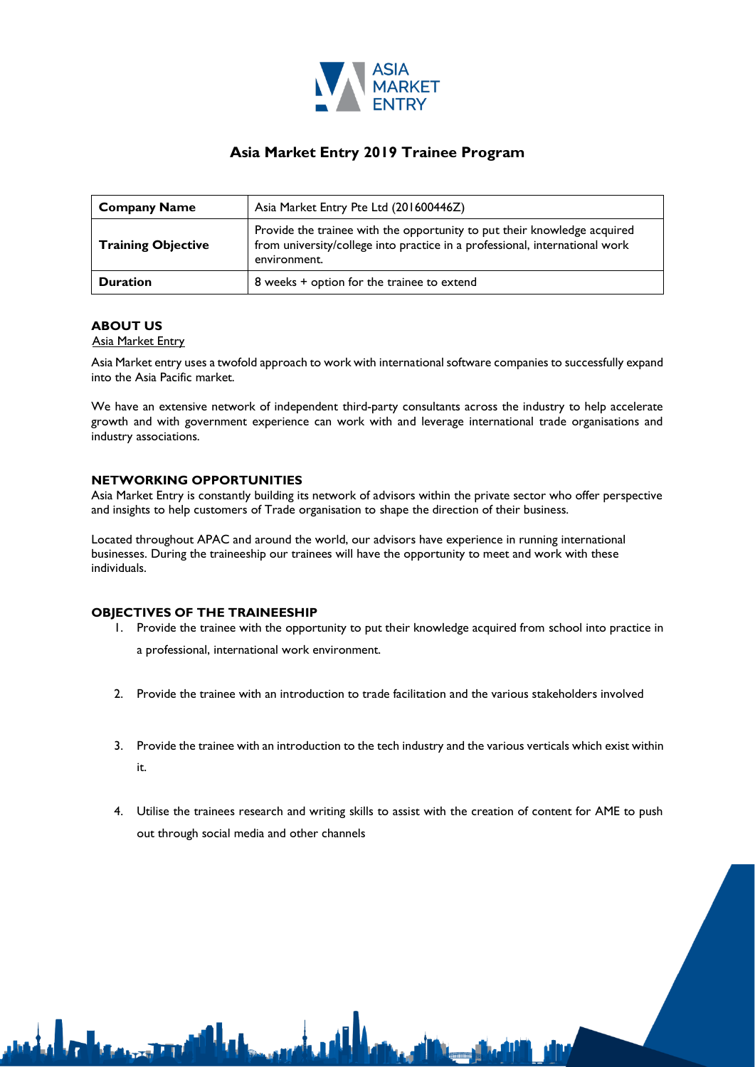

# **Asia Market Entry 2019 Trainee Program**

| <b>Company Name</b>       | Asia Market Entry Pte Ltd (201600446Z)                                                                                                                                  |  |
|---------------------------|-------------------------------------------------------------------------------------------------------------------------------------------------------------------------|--|
| <b>Training Objective</b> | Provide the trainee with the opportunity to put their knowledge acquired<br>from university/college into practice in a professional, international work<br>environment. |  |
| <b>Duration</b>           | 8 weeks + option for the trainee to extend                                                                                                                              |  |

### **ABOUT US**

### **Asia Market Entry**

Asia Market entry uses a twofold approach to work with international software companies to successfully expand into the Asia Pacific market.

We have an extensive network of independent third-party consultants across the industry to help accelerate growth and with government experience can work with and leverage international trade organisations and industry associations.

### **NETWORKING OPPORTUNITIES**

Asia Market Entry is constantly building its network of advisors within the private sector who offer perspective and insights to help customers of Trade organisation to shape the direction of their business.

Located throughout APAC and around the world, our advisors have experience in running international businesses. During the traineeship our trainees will have the opportunity to meet and work with these individuals.

#### **OBJECTIVES OF THE TRAINEESHIP**

- 1. Provide the trainee with the opportunity to put their knowledge acquired from school into practice in a professional, international work environment.
- 2. Provide the trainee with an introduction to trade facilitation and the various stakeholders involved
- 3. Provide the trainee with an introduction to the tech industry and the various verticals which exist within it.
- 4. Utilise the trainees research and writing skills to assist with the creation of content for AME to push out through social media and other channels